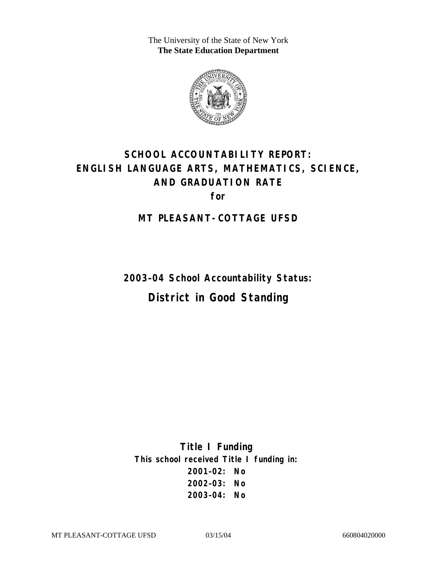The University of the State of New York **The State Education Department** 



# **SCHOOL ACCOUNTABILITY REPORT: ENGLISH LANGUAGE ARTS, MATHEMATICS, SCIENCE, AND GRADUATION RATE for**

#### **MT PLEASANT-COTTAGE UFSD**

**2003–04 School Accountability Status: District in Good Standing** 

**Title I Funding This school received Title I funding in: 2001–02: No 2002–03: No 2003–04: No**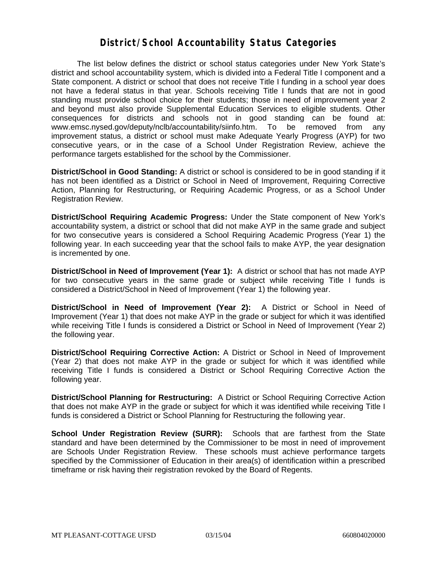#### **District/School Accountability Status Categories**

The list below defines the district or school status categories under New York State's district and school accountability system, which is divided into a Federal Title I component and a State component. A district or school that does not receive Title I funding in a school year does not have a federal status in that year. Schools receiving Title I funds that are not in good standing must provide school choice for their students; those in need of improvement year 2 and beyond must also provide Supplemental Education Services to eligible students. Other consequences for districts and schools not in good standing can be found at: www.emsc.nysed.gov/deputy/nclb/accountability/siinfo.htm. To be removed from any improvement status, a district or school must make Adequate Yearly Progress (AYP) for two consecutive years, or in the case of a School Under Registration Review, achieve the performance targets established for the school by the Commissioner.

**District/School in Good Standing:** A district or school is considered to be in good standing if it has not been identified as a District or School in Need of Improvement, Requiring Corrective Action, Planning for Restructuring, or Requiring Academic Progress, or as a School Under Registration Review.

**District/School Requiring Academic Progress:** Under the State component of New York's accountability system, a district or school that did not make AYP in the same grade and subject for two consecutive years is considered a School Requiring Academic Progress (Year 1) the following year. In each succeeding year that the school fails to make AYP, the year designation is incremented by one.

**District/School in Need of Improvement (Year 1):** A district or school that has not made AYP for two consecutive years in the same grade or subject while receiving Title I funds is considered a District/School in Need of Improvement (Year 1) the following year.

**District/School in Need of Improvement (Year 2):** A District or School in Need of Improvement (Year 1) that does not make AYP in the grade or subject for which it was identified while receiving Title I funds is considered a District or School in Need of Improvement (Year 2) the following year.

**District/School Requiring Corrective Action:** A District or School in Need of Improvement (Year 2) that does not make AYP in the grade or subject for which it was identified while receiving Title I funds is considered a District or School Requiring Corrective Action the following year.

**District/School Planning for Restructuring:** A District or School Requiring Corrective Action that does not make AYP in the grade or subject for which it was identified while receiving Title I funds is considered a District or School Planning for Restructuring the following year.

**School Under Registration Review (SURR):** Schools that are farthest from the State standard and have been determined by the Commissioner to be most in need of improvement are Schools Under Registration Review. These schools must achieve performance targets specified by the Commissioner of Education in their area(s) of identification within a prescribed timeframe or risk having their registration revoked by the Board of Regents.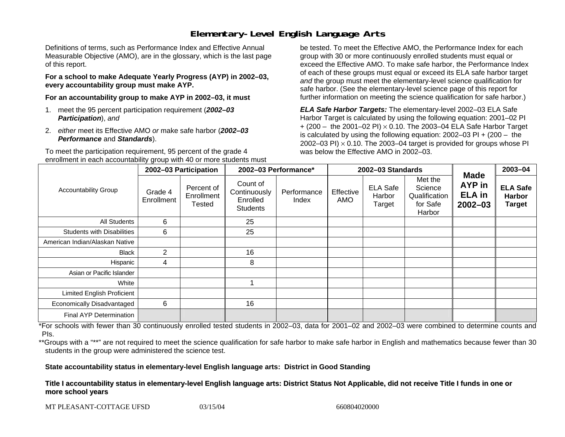# **Elementary-Level English Language Arts**

Definitions of terms, such as Performance Index and Effective Annual Measurable Objective (AMO), are in the glossary, which is the last page of this report.

**For a school to make Adequate Yearly Progress (AYP) in 2002–03, every accountability group must make AYP.** 

**For an accountability group to make AYP in 2002–03, it must** 

- 1. meet the 95 percent participation requirement (*2002–03 Participation*), *and*
- 2. *either* meet its Effective AMO *or* make safe harbor (*2002–03 Performance* and *Standards*).

To meet the participation requirement, 95 percent of the grade 4 enrollment in each accountability group with 40 or more students must

be tested. To meet the Effective AMO, the Performance Index for each group with 30 or more continuously enrolled students must equal or exceed the Effective AMO. To make safe harbor, the Performance Index of each of these groups must equal or exceed its ELA safe harbor target *and* the group must meet the elementary-level science qualification for safe harbor. (See the elementary-level science page of this report for further information on meeting the science qualification for safe harbor.)

*ELA Safe Harbor Targets:* The elementary-level 2002–03 ELA Safe Harbor Target is calculated by using the following equation: 2001–02 PI + (200 – the 2001–02 PI) <sup>×</sup> 0.10. The 2003–04 ELA Safe Harbor Target is calculated by using the following equation: 2002–03 PI + (200 – the 2002–03 PI)  $\times$  0.10. The 2003–04 target is provided for groups whose PI was below the Effective AMO in 2002–03.

|                                   | 2002-03 Participation |                                    | 2002-03 Performance*                                    |                      | 2002-03 Standards |                                     |                                                           |                                                              | 2003-04                                           |
|-----------------------------------|-----------------------|------------------------------------|---------------------------------------------------------|----------------------|-------------------|-------------------------------------|-----------------------------------------------------------|--------------------------------------------------------------|---------------------------------------------------|
| <b>Accountability Group</b>       | Grade 4<br>Enrollment | Percent of<br>Enrollment<br>Tested | Count of<br>Continuously<br>Enrolled<br><b>Students</b> | Performance<br>Index | Effective<br>AMO  | <b>ELA Safe</b><br>Harbor<br>Target | Met the<br>Science<br>Qualification<br>for Safe<br>Harbor | <b>Made</b><br><b>AYP</b> in<br><b>ELA</b> in<br>$2002 - 03$ | <b>ELA Safe</b><br><b>Harbor</b><br><b>Target</b> |
| All Students                      | 6                     |                                    | 25                                                      |                      |                   |                                     |                                                           |                                                              |                                                   |
| <b>Students with Disabilities</b> | 6                     |                                    | 25                                                      |                      |                   |                                     |                                                           |                                                              |                                                   |
| American Indian/Alaskan Native    |                       |                                    |                                                         |                      |                   |                                     |                                                           |                                                              |                                                   |
| <b>Black</b>                      | $\overline{2}$        |                                    | 16                                                      |                      |                   |                                     |                                                           |                                                              |                                                   |
| Hispanic                          | 4                     |                                    | 8                                                       |                      |                   |                                     |                                                           |                                                              |                                                   |
| Asian or Pacific Islander         |                       |                                    |                                                         |                      |                   |                                     |                                                           |                                                              |                                                   |
| White                             |                       |                                    |                                                         |                      |                   |                                     |                                                           |                                                              |                                                   |
| <b>Limited English Proficient</b> |                       |                                    |                                                         |                      |                   |                                     |                                                           |                                                              |                                                   |
| Economically Disadvantaged        | 6                     |                                    | 16                                                      |                      |                   |                                     |                                                           |                                                              |                                                   |
| Final AYP Determination           |                       |                                    |                                                         |                      |                   |                                     |                                                           |                                                              |                                                   |

\*For schools with fewer than 30 continuously enrolled tested students in 2002–03, data for 2001–02 and 2002–03 were combined to determine counts and PIs.

\*\*Groups with a "\*\*" are not required to meet the science qualification for safe harbor to make safe harbor in English and mathematics because fewer than 30 students in the group were administered the science test.

**State accountability status in elementary-level English language arts: District in Good Standing** 

Title I accountability status in elementary-level English language arts: District Status Not Applicable, did not receive Title I funds in one or **more s c hool y e ars**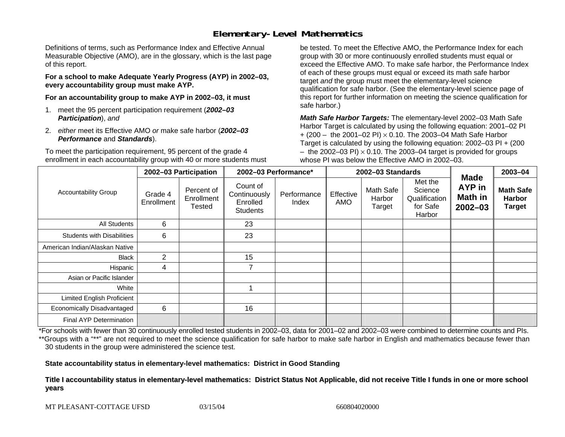# **Elementary-Level Mathematics**

Definitions of terms, such as Performance Index and Effective Annual Measurable Objective (AMO), are in the glossary, which is the last page of this report.

**For a school to make Adequate Yearly Progress (AYP) in 2002–03, every accountability group must make AYP.** 

**For an accountability group to make AYP in 2002–03, it must** 

- 1. meet the 95 percent participation requirement (*2002–03 Participation*), *and*
- 2. *either* meet its Effective AMO *or* make safe harbor (*2002–03 Performance* and *Standards*).

To meet the participation requirement, 95 percent of the grade 4 enrollment in each accountability group with 40 or more students must

be tested. To meet the Effective AMO, the Performance Index for each group with 30 or more continuously enrolled students must equal or exceed the Effective AMO. To make safe harbor, the Performance Index of each of these groups must equal or exceed its math safe harbor target *and* the group must meet the elementary-level science qualification for safe harbor. (See the elementary-level science page of this report for further information on meeting the science qualification for safe harbor.)

*Math Safe Harbor Targets:* The elementary-level 2002–03 Math Safe Harbor Target is calculated by using the following equation: 2001–02 PI + (200 – the 2001–02 PI) × 0.10. The 2003–04 Math Safe Harbor Target is calculated by using the following equation: 2002–03 PI + (200  $-$  the 2002–03 PI)  $\times$  0.10. The 2003–04 target is provided for groups whose PI was below the Effective AMO in 2002–03.

|                                   | 2002-03 Participation |                                    | 2002-03 Performance*                                    |                      | 2002-03 Standards |                               |                                                           |                                                               | 2003-04                                            |
|-----------------------------------|-----------------------|------------------------------------|---------------------------------------------------------|----------------------|-------------------|-------------------------------|-----------------------------------------------------------|---------------------------------------------------------------|----------------------------------------------------|
| <b>Accountability Group</b>       | Grade 4<br>Enrollment | Percent of<br>Enrollment<br>Tested | Count of<br>Continuously<br>Enrolled<br><b>Students</b> | Performance<br>Index | Effective<br>AMO  | Math Safe<br>Harbor<br>Target | Met the<br>Science<br>Qualification<br>for Safe<br>Harbor | <b>Made</b><br><b>AYP</b> in<br><b>Math in</b><br>$2002 - 03$ | <b>Math Safe</b><br><b>Harbor</b><br><b>Target</b> |
| All Students                      | 6                     |                                    | 23                                                      |                      |                   |                               |                                                           |                                                               |                                                    |
| <b>Students with Disabilities</b> | 6                     |                                    | 23                                                      |                      |                   |                               |                                                           |                                                               |                                                    |
| American Indian/Alaskan Native    |                       |                                    |                                                         |                      |                   |                               |                                                           |                                                               |                                                    |
| <b>Black</b>                      | $\overline{2}$        |                                    | 15                                                      |                      |                   |                               |                                                           |                                                               |                                                    |
| Hispanic                          | 4                     |                                    |                                                         |                      |                   |                               |                                                           |                                                               |                                                    |
| Asian or Pacific Islander         |                       |                                    |                                                         |                      |                   |                               |                                                           |                                                               |                                                    |
| White                             |                       |                                    |                                                         |                      |                   |                               |                                                           |                                                               |                                                    |
| <b>Limited English Proficient</b> |                       |                                    |                                                         |                      |                   |                               |                                                           |                                                               |                                                    |
| Economically Disadvantaged        | 6                     |                                    | 16                                                      |                      |                   |                               |                                                           |                                                               |                                                    |
| Final AYP Determination           |                       |                                    |                                                         |                      |                   |                               |                                                           |                                                               |                                                    |

\*For schools with fewer than 30 continuously enrolled tested students in 2002–03, data for 2001–02 and 2002–03 were combined to determine counts and PIs. \*\*Groups with a "\*\*" are not required to meet the science qualification for safe harbor to make safe harbor in English and mathematics because fewer than 30 students in the group were administered the science test.

**State accountability status in elementary-level mathematics: District in Good Standing** 

Title I accountability status in elementary-level mathematics: District Status Not Applicable, did not receive Title I funds in one or more school **y ears**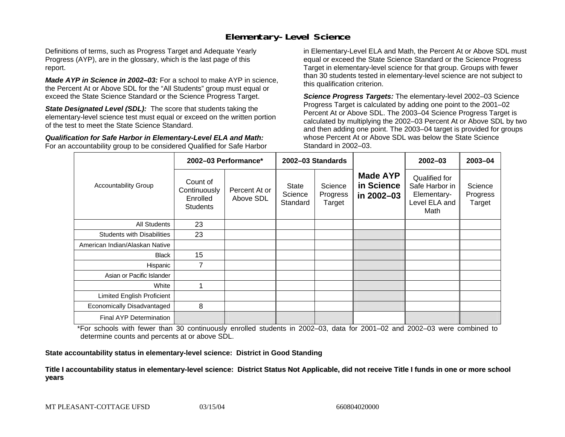#### **Elementary-Level Science**

Definitions of terms, such as Progress Target and Adequate Yearly Progress (AYP), are in the glossary, which is the last page of this report.

*Made AYP in Science in 2002–03:* For a school to make AYP in science, the Percent At or Above SDL for the "All Students" group must equal or exceed the State Science Standard or the Science Progress Target.

**State Designated Level (SDL):** The score that students taking the elementary-level science test must equal or exceed on the written portion of the test to meet the State Science Standard.

*Qualification for Safe Harbor in Elementary-Level ELA and Math:* For an accountability group to be considered Qualified for Safe Harbor in Elementary-Level ELA and Math, the Percent At or Above SDL must equal or exceed the State Science Standard or the Science Progress Target in elementary-level science for that group. Groups with fewer than 30 students tested in elementary-level science are not subject to this qualification criterion.

*Science Progress Targets:* The elementary-level 2002–03 Science Progress Target is calculated by adding one point to the 2001–02 Percent At or Above SDL. The 2003–04 Science Progress Target is calculated by multiplying the 2002–03 Percent At or Above SDL by two and then adding one point. The 2003–04 target is provided for groups whose Percent At or Above SDL was below the State Science Standard in 2002–03.

|                                   |                                                         | 2002-03 Performance*       |                              | 2002-03 Standards             |                                             | $2002 - 03$                                                             | $2003 - 04$                   |
|-----------------------------------|---------------------------------------------------------|----------------------------|------------------------------|-------------------------------|---------------------------------------------|-------------------------------------------------------------------------|-------------------------------|
| <b>Accountability Group</b>       | Count of<br>Continuously<br>Enrolled<br><b>Students</b> | Percent At or<br>Above SDL | State<br>Science<br>Standard | Science<br>Progress<br>Target | <b>Made AYP</b><br>in Science<br>in 2002-03 | Qualified for<br>Safe Harbor in<br>Elementary-<br>Level ELA and<br>Math | Science<br>Progress<br>Target |
| <b>All Students</b>               | 23                                                      |                            |                              |                               |                                             |                                                                         |                               |
| <b>Students with Disabilities</b> | 23                                                      |                            |                              |                               |                                             |                                                                         |                               |
| American Indian/Alaskan Native    |                                                         |                            |                              |                               |                                             |                                                                         |                               |
| <b>Black</b>                      | 15                                                      |                            |                              |                               |                                             |                                                                         |                               |
| Hispanic                          | 7                                                       |                            |                              |                               |                                             |                                                                         |                               |
| Asian or Pacific Islander         |                                                         |                            |                              |                               |                                             |                                                                         |                               |
| White                             | 1                                                       |                            |                              |                               |                                             |                                                                         |                               |
| Limited English Proficient        |                                                         |                            |                              |                               |                                             |                                                                         |                               |
| Economically Disadvantaged        | 8                                                       |                            |                              |                               |                                             |                                                                         |                               |
| <b>Final AYP Determination</b>    |                                                         |                            |                              |                               |                                             |                                                                         |                               |

\*For schools with fewer than 30 continuously enrolled students in 2002–03, data for 2001–02 and 2002–03 were combined to determine counts and percents at or above SDL.

**State accountability status in elementary-level science: District in Good Standing** 

Title I accountability status in elementary-level science: District Status Not Applicable, did not receive Title I funds in one or more school **y ears**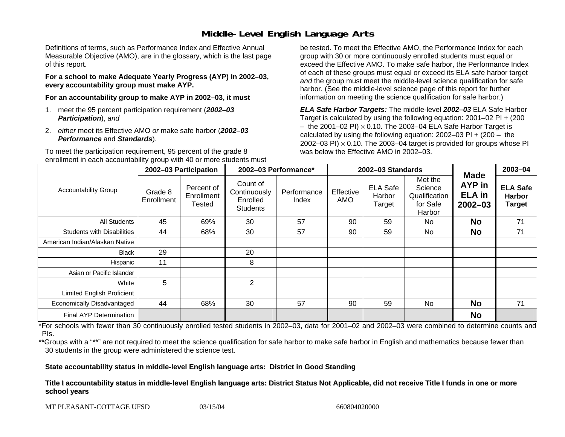## **Middle-Level English Language Arts**

Definitions of terms, such as Performance Index and Effective Annual Measurable Objective (AMO), are in the glossary, which is the last page of this report.

**For a school to make Adequate Yearly Progress (AYP) in 2002–03, every accountability group must make AYP.** 

**For an accountability group to make AYP in 2002–03, it must** 

- 1. meet the 95 percent participation requirement (*2002–03 Participation*), *and*
- 2. *either* meet its Effective AMO *or* make safe harbor (*2002–03 Performance* and *Standards*).

To meet the participation requirement, 95 percent of the grade 8 enrollment in each accountability group with 40 or more students must

be tested. To meet the Effective AMO, the Performance Index for each group with 30 or more continuously enrolled students must equal or exceed the Effective AMO. To make safe harbor, the Performance Index of each of these groups must equal or exceed its ELA safe harbor target *and* the group must meet the middle-level science qualification for safe harbor. (See the middle-level science page of this report for further information on meeting the science qualification for safe harbor.)

*ELA Safe Harbor Targets:* The middle-level *2002–03* ELA Safe Harbor Target is calculated by using the following equation: 2001–02 PI + (200  $-$  the 2001–02 PI)  $\times$  0.10. The 2003–04 ELA Safe Harbor Target is  $\,$ calculated by using the following equation:  $2002-03$  PI +  $(200 -$  the 2002–03 PI)  $\times$  0.10. The 2003–04 target is provided for groups whose PI was below the Effective AMO in 2002–03.

|                                   | 2002-03 Participation |                                    | 2002-03 Performance*                                    |                      | 2002-03 Standards |                                     |                                                           |                                                       | 2003-04                                           |
|-----------------------------------|-----------------------|------------------------------------|---------------------------------------------------------|----------------------|-------------------|-------------------------------------|-----------------------------------------------------------|-------------------------------------------------------|---------------------------------------------------|
| <b>Accountability Group</b>       | Grade 8<br>Enrollment | Percent of<br>Enrollment<br>Tested | Count of<br>Continuously<br>Enrolled<br><b>Students</b> | Performance<br>Index | Effective<br>AMO  | <b>ELA Safe</b><br>Harbor<br>Target | Met the<br>Science<br>Qualification<br>for Safe<br>Harbor | <b>Made</b><br>AYP in<br><b>ELA</b> in<br>$2002 - 03$ | <b>ELA Safe</b><br><b>Harbor</b><br><b>Target</b> |
| <b>All Students</b>               | 45                    | 69%                                | 30                                                      | 57                   | 90                | 59                                  | No.                                                       | <b>No</b>                                             | 71                                                |
| <b>Students with Disabilities</b> | 44                    | 68%                                | 30                                                      | 57                   | 90                | 59                                  | No                                                        | <b>No</b>                                             | 71                                                |
| American Indian/Alaskan Native    |                       |                                    |                                                         |                      |                   |                                     |                                                           |                                                       |                                                   |
| <b>Black</b>                      | 29                    |                                    | 20                                                      |                      |                   |                                     |                                                           |                                                       |                                                   |
| Hispanic                          | 11                    |                                    | 8                                                       |                      |                   |                                     |                                                           |                                                       |                                                   |
| Asian or Pacific Islander         |                       |                                    |                                                         |                      |                   |                                     |                                                           |                                                       |                                                   |
| White                             | 5                     |                                    | $\overline{2}$                                          |                      |                   |                                     |                                                           |                                                       |                                                   |
| <b>Limited English Proficient</b> |                       |                                    |                                                         |                      |                   |                                     |                                                           |                                                       |                                                   |
| Economically Disadvantaged        | 44                    | 68%                                | 30                                                      | 57                   | 90                | 59                                  | <b>No</b>                                                 | <b>No</b>                                             | 71                                                |
| <b>Final AYP Determination</b>    |                       |                                    |                                                         |                      |                   |                                     |                                                           | <b>No</b>                                             |                                                   |

\*For schools with fewer than 30 continuously enrolled tested students in 2002–03, data for 2001–02 and 2002–03 were combined to determine counts and PIs.

\*\*Groups with a "\*\*" are not required to meet the science qualification for safe harbor to make safe harbor in English and mathematics because fewer than 30 students in the group were administered the science test.

**State accountability status in middle-level English language arts: District in Good Standing** 

Title I accountability status in middle-level English language arts: District Status Not Applicable, did not receive Title I funds in one or more **school y ears**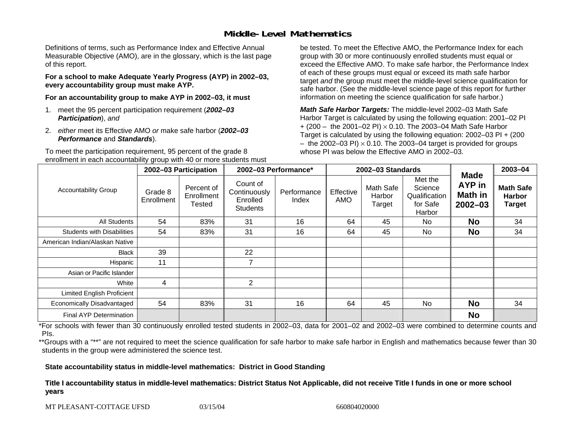### **Middle-Level Mathematics**

Definitions of terms, such as Performance Index and Effective Annual Measurable Objective (AMO), are in the glossary, which is the last page of this report.

**For a school to make Adequate Yearly Progress (AYP) in 2002–03, every accountability group must make AYP.** 

**For an accountability group to make AYP in 2002–03, it must** 

- 1. meet the 95 percent participation requirement (*2002–03 Participation*), *and*
- 2. *either* meet its Effective AMO *or* make safe harbor (*2002–03 Performance* and *Standards*).

To meet the participation requirement, 95 percent of the grade 8 enrollment in each accountability group with 40 or more students must

be tested. To meet the Effective AMO, the Performance Index for each group with 30 or more continuously enrolled students must equal or exceed the Effective AMO. To make safe harbor, the Performance Index of each of these groups must equal or exceed its math safe harbor target *and* the group must meet the middle-level science qualification for safe harbor. (See the middle-level science page of this report for further information on meeting the science qualification for safe harbor.)

*Math Safe Harbor Targets:* The middle-level 2002–03 Math Safe Harbor Target is calculated by using the following equation: 2001–02 PI + (200 – the 2001–02 PI) × 0.10. The 2003–04 Math Safe Harbor Target is calculated by using the following equation: 2002–03 PI + (200  $-$  the 2002–03 PI)  $\times$  0.10. The 2003–04 target is provided for groups whose PI was below the Effective AMO in 2002–03

|                                   | 2002-03 Participation |                                           | 2002-03 Performance*                                    |                      | 2002-03 Standards |                               |                                                           |                                                 | 2003-04                                            |
|-----------------------------------|-----------------------|-------------------------------------------|---------------------------------------------------------|----------------------|-------------------|-------------------------------|-----------------------------------------------------------|-------------------------------------------------|----------------------------------------------------|
| <b>Accountability Group</b>       | Grade 8<br>Enrollment | Percent of<br>Enrollment<br><b>Tested</b> | Count of<br>Continuously<br>Enrolled<br><b>Students</b> | Performance<br>Index | Effective<br>AMO  | Math Safe<br>Harbor<br>Target | Met the<br>Science<br>Qualification<br>for Safe<br>Harbor | <b>Made</b><br>AYP in<br>Math in<br>$2002 - 03$ | <b>Math Safe</b><br><b>Harbor</b><br><b>Target</b> |
| <b>All Students</b>               | 54                    | 83%                                       | 31                                                      | 16                   | 64                | 45                            | No.                                                       | <b>No</b>                                       | 34                                                 |
| <b>Students with Disabilities</b> | 54                    | 83%                                       | 31                                                      | 16                   | 64                | 45                            | N <sub>0</sub>                                            | <b>No</b>                                       | 34                                                 |
| American Indian/Alaskan Native    |                       |                                           |                                                         |                      |                   |                               |                                                           |                                                 |                                                    |
| <b>Black</b>                      | 39                    |                                           | 22                                                      |                      |                   |                               |                                                           |                                                 |                                                    |
| Hispanic                          | 11                    |                                           | 7                                                       |                      |                   |                               |                                                           |                                                 |                                                    |
| Asian or Pacific Islander         |                       |                                           |                                                         |                      |                   |                               |                                                           |                                                 |                                                    |
| White                             | 4                     |                                           | $\overline{2}$                                          |                      |                   |                               |                                                           |                                                 |                                                    |
| <b>Limited English Proficient</b> |                       |                                           |                                                         |                      |                   |                               |                                                           |                                                 |                                                    |
| Economically Disadvantaged        | 54                    | 83%                                       | 31                                                      | 16                   | 64                | 45                            | N <sub>0</sub>                                            | <b>No</b>                                       | 34                                                 |
| <b>Final AYP Determination</b>    |                       |                                           |                                                         |                      |                   |                               |                                                           | <b>No</b>                                       |                                                    |

\*For schools with fewer than 30 continuously enrolled tested students in 2002–03, data for 2001–02 and 2002–03 were combined to determine counts and PIs.

\*\*Groups with a "\*\*" are not required to meet the science qualification for safe harbor to make safe harbor in English and mathematics because fewer than 30 students in the group were administered the science test.

**State accountability status in middle-level mathematics: District in Good Standing** 

Title I accountability status in middle-level mathematics: District Status Not Applicable, did not receive Title I funds in one or more school **y ears**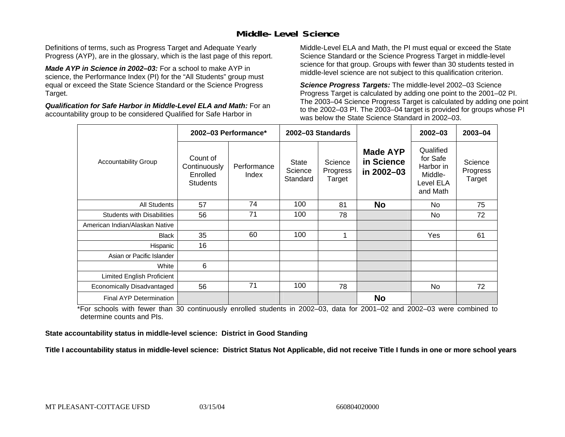### **Middle-Level Science**

Definitions of terms, such as Progress Target and Adequate Yearly Progress (AYP), are in the glossary, which is the last page of this report.

*Made AYP in Science in 2002–03:* For a school to make AYP in science, the Performance Index (PI) for the "All Students" group must equal or exceed the State Science Standard or the Science Progress Target.

*Qualification for Safe Harbor in Middle-Level ELA and Math:* For an accountability group to be considered Qualified for Safe Harbor in

Middle-Level ELA and Math, the PI must equal or exceed the State Science Standard or the Science Progress Target in middle-level science for that group. Groups with fewer than 30 students tested in middle-level science are not subject to this qualification criterion.

*Science Progress Targets:* The middle-level 2002–03 Science Progress Target is calculated by adding one point to the 2001–02 PI. The 2003–04 Science Progress Target is calculated by adding one point to the 2002–03 PI. The 2003–04 target is provided for groups whose PI was below the State Science Standard in 2002–03.

|                                   |                                                         | 2002-03 Performance* |                                     | 2002-03 Standards             |                                             | $2002 - 03$                                                            | $2003 - 04$                   |
|-----------------------------------|---------------------------------------------------------|----------------------|-------------------------------------|-------------------------------|---------------------------------------------|------------------------------------------------------------------------|-------------------------------|
| <b>Accountability Group</b>       | Count of<br>Continuously<br>Enrolled<br><b>Students</b> | Performance<br>Index | <b>State</b><br>Science<br>Standard | Science<br>Progress<br>Target | <b>Made AYP</b><br>in Science<br>in 2002-03 | Qualified<br>for Safe<br>Harbor in<br>Middle-<br>Level ELA<br>and Math | Science<br>Progress<br>Target |
| <b>All Students</b>               | 57                                                      | 74                   | 100                                 | 81                            | <b>No</b>                                   | No.                                                                    | 75                            |
| <b>Students with Disabilities</b> | 56                                                      | 71                   | 100                                 | 78                            |                                             | <b>No</b>                                                              | 72                            |
| American Indian/Alaskan Native    |                                                         |                      |                                     |                               |                                             |                                                                        |                               |
| <b>Black</b>                      | 35                                                      | 60                   | 100                                 | 1                             |                                             | Yes                                                                    | 61                            |
| Hispanic                          | 16                                                      |                      |                                     |                               |                                             |                                                                        |                               |
| Asian or Pacific Islander         |                                                         |                      |                                     |                               |                                             |                                                                        |                               |
| White                             | 6                                                       |                      |                                     |                               |                                             |                                                                        |                               |
| Limited English Proficient        |                                                         |                      |                                     |                               |                                             |                                                                        |                               |
| Economically Disadvantaged        | 56                                                      | 71                   | 100                                 | 78                            |                                             | <b>No</b>                                                              | 72                            |
| <b>Final AYP Determination</b>    |                                                         |                      |                                     |                               | <b>No</b>                                   |                                                                        |                               |

\*For schools with fewer than 30 continuously enrolled students in 2002–03, data for 2001–02 and 2002–03 were combined to determine counts and PIs.

**State accountability status in middle-level science: District in Good Standing** 

Title I accountability status in middle-level science: District Status Not Applicable, did not receive Title I funds in one or more school years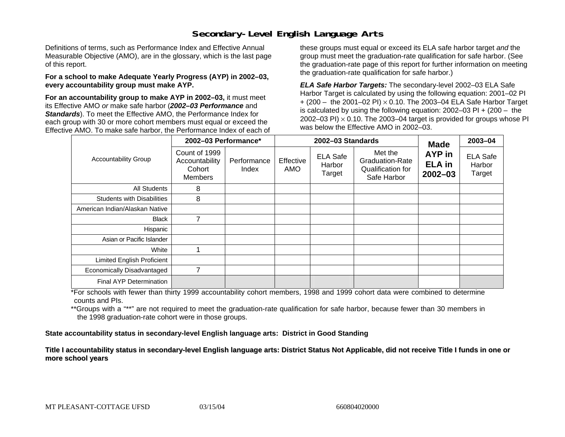### **Secondary-Level English Language Arts**

Definitions of terms, such as Performance Index and Effective Annual Measurable Objective (AMO), are in the glossary, which is the last page of this report.

#### **For a school to make Adequate Yearly Progress (AYP) in 2002–03, every accountability group must make AYP.**

**For an accountability group to make AYP in 2002–03,** it must meet its Effective AMO *or* make safe harbor (*2002–03 Performance* and *Standards*). To meet the Effective AMO, the Performance Index for each group with 30 or more cohort members must equal or exceed the Effective AMO. To make safe harbor, the Performance Index of each of these groups must equal or exceed its ELA safe harbor target *and* the group must meet the graduation-rate qualification for safe harbor. (See the graduation-rate page of this report for further information on meeting the graduation-rate qualification for safe harbor.)

*ELA Safe Harbor Targets:* The secondary-level 2002–03 ELA Safe Harbor Target is calculated by using the following equation: 2001–02 PI + (200 – the 2001–02 PI) <sup>×</sup> 0.10. The 2003–04 ELA Safe Harbor Target is calculated by using the following equation: 2002–03 PI + (200 – the 2002–03 PI)  $\times$  0.10. The 2003–04 target is provided for groups whose PI was below the Effective AMO in 2002–03.

|                                   | 2002-03 Performance*                                        |                      |                  | 2002-03 Standards                   | <b>Made</b>                                                           | 2003-04                                |                                     |
|-----------------------------------|-------------------------------------------------------------|----------------------|------------------|-------------------------------------|-----------------------------------------------------------------------|----------------------------------------|-------------------------------------|
| <b>Accountability Group</b>       | Count of 1999<br>Accountability<br>Cohort<br><b>Members</b> | Performance<br>Index | Effective<br>AMO | <b>ELA Safe</b><br>Harbor<br>Target | Met the<br><b>Graduation-Rate</b><br>Qualification for<br>Safe Harbor | AYP in<br><b>ELA</b> in<br>$2002 - 03$ | <b>ELA Safe</b><br>Harbor<br>Target |
| All Students                      | 8                                                           |                      |                  |                                     |                                                                       |                                        |                                     |
| <b>Students with Disabilities</b> | 8                                                           |                      |                  |                                     |                                                                       |                                        |                                     |
| American Indian/Alaskan Native    |                                                             |                      |                  |                                     |                                                                       |                                        |                                     |
| <b>Black</b>                      | 7                                                           |                      |                  |                                     |                                                                       |                                        |                                     |
| Hispanic                          |                                                             |                      |                  |                                     |                                                                       |                                        |                                     |
| Asian or Pacific Islander         |                                                             |                      |                  |                                     |                                                                       |                                        |                                     |
| White                             |                                                             |                      |                  |                                     |                                                                       |                                        |                                     |
| Limited English Proficient        |                                                             |                      |                  |                                     |                                                                       |                                        |                                     |
| Economically Disadvantaged        | 7                                                           |                      |                  |                                     |                                                                       |                                        |                                     |
| Final AYP Determination           |                                                             |                      |                  |                                     |                                                                       |                                        |                                     |

\*For schools with fewer than thirty 1999 accountability cohort members, 1998 and 1999 cohort data were combined to determine counts and PIs.

\*\*Groups with a "\*\*" are not required to meet the graduation-rate qualification for safe harbor, because fewer than 30 members in the 1998 graduation-rate cohort were in those groups.

**State accountability status in secondary-level English language arts: District in Good Standing** 

Title I accountability status in secondary-level English language arts: District Status Not Applicable, did not receive Title I funds in one or **moreschool y ears**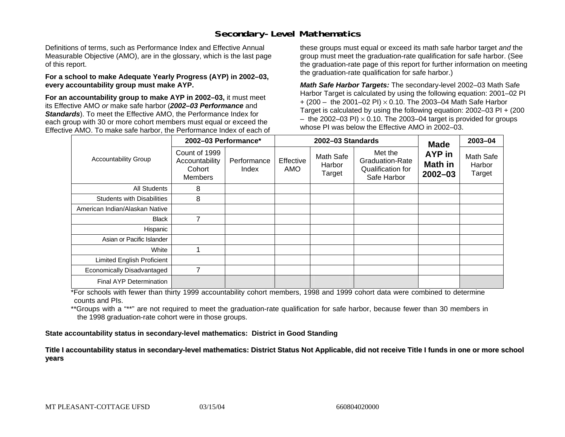#### **Secondary-Level Mathematics**

Definitions of terms, such as Performance Index and Effective Annual Measurable Objective (AMO), are in the glossary, which is the last page of this report.

#### **For a school to make Adequate Yearly Progress (AYP) in 2002–03, every accountability group must make AYP.**

**For an accountability group to make AYP in 2002–03,** it must meet its Effective AMO *or* make safe harbor (*2002–03 Performance* and *Standards*). To meet the Effective AMO, the Performance Index for each group with 30 or more cohort members must equal or exceed the Effective AMO. To make safe harbor, the Performance Index of each of these groups must equal or exceed its math safe harbor target *and* the group must meet the graduation-rate qualification for safe harbor. (See the graduation-rate page of this report for further information on meeting the graduation-rate qualification for safe harbor.)

*Math Safe Harbor Targets:* The secondary-level 2002–03 Math Safe Harbor Target is calculated by using the following equation: 2001–02 PI + (200 – the 2001–02 PI) × 0.10. The 2003–04 Math Safe Harbor Target is calculated by using the following equation: 2002–03 PI + (200  $-$  the 2002–03 PI)  $\times$  0.10. The 2003–04 target is provided for groups whose PI was below the Effective AMO in 2002–03.

|                                   | 2002-03 Performance*                                 |                      |                  | 2002-03 Standards             | <b>Made</b>                                                           | 2003-04                          |                               |
|-----------------------------------|------------------------------------------------------|----------------------|------------------|-------------------------------|-----------------------------------------------------------------------|----------------------------------|-------------------------------|
| <b>Accountability Group</b>       | Count of 1999<br>Accountability<br>Cohort<br>Members | Performance<br>Index | Effective<br>AMO | Math Safe<br>Harbor<br>Target | Met the<br><b>Graduation-Rate</b><br>Qualification for<br>Safe Harbor | AYP in<br>Math in<br>$2002 - 03$ | Math Safe<br>Harbor<br>Target |
| All Students                      | 8                                                    |                      |                  |                               |                                                                       |                                  |                               |
| <b>Students with Disabilities</b> | 8                                                    |                      |                  |                               |                                                                       |                                  |                               |
| American Indian/Alaskan Native    |                                                      |                      |                  |                               |                                                                       |                                  |                               |
| <b>Black</b>                      | 7                                                    |                      |                  |                               |                                                                       |                                  |                               |
| Hispanic                          |                                                      |                      |                  |                               |                                                                       |                                  |                               |
| Asian or Pacific Islander         |                                                      |                      |                  |                               |                                                                       |                                  |                               |
| White                             |                                                      |                      |                  |                               |                                                                       |                                  |                               |
| Limited English Proficient        |                                                      |                      |                  |                               |                                                                       |                                  |                               |
| Economically Disadvantaged        | $\overline{7}$                                       |                      |                  |                               |                                                                       |                                  |                               |
| <b>Final AYP Determination</b>    |                                                      |                      |                  |                               |                                                                       |                                  |                               |

\*For schools with fewer than thirty 1999 accountability cohort members, 1998 and 1999 cohort data were combined to determine counts and PIs.

\*\*Groups with a "\*\*" are not required to meet the graduation-rate qualification for safe harbor, because fewer than 30 members in the 1998 graduation-rate cohort were in those groups.

**State accountability status in secondary-level mathematics: District in Good Standing** 

Title I accountability status in secondary-level mathematics: District Status Not Applicable, did not receive Title I funds in one or more school **y ears**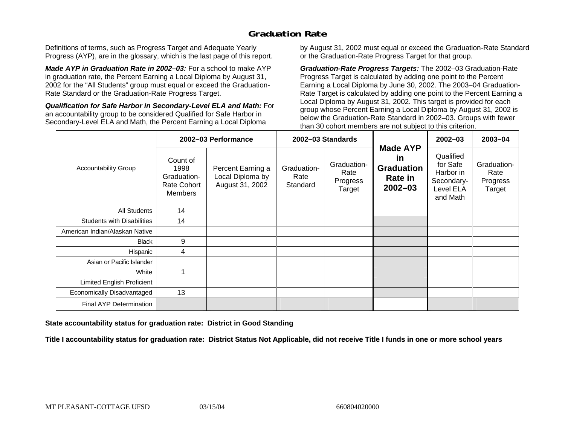## **Graduation Rate**

Definitions of terms, such as Progress Target and Adequate Yearly Progress (AYP), are in the glossary, which is the last page of this report.

*Made AYP in Graduation Rate in 2002–03:* For a school to make AYP in graduation rate, the Percent Earning a Local Diploma by August 31, 2002 for the "All Students" group must equal or exceed the Graduation-Rate Standard or the Graduation-Rate Progress Target.

*Qualification for Safe Harbor in Secondary-Level ELA and Math:* For an accountability group to be considered Qualified for Safe Harbor in Secondary-Level ELA and Math, the Percent Earning a Local Diploma

by August 31, 2002 must equal or exceed the Graduation-Rate Standard or the Graduation-Rate Progress Target for that group.

*Graduation-Rate Progress Targets:* The 2002–03 Graduation-Rate Progress Target is calculated by adding one point to the Percent Earning a Local Diploma by June 30, 2002. The 2003–04 Graduation-Rate Target is calculated by adding one point to the Percent Earning a Local Diploma by August 31, 2002. This target is provided for each group whose Percent Earning a Local Diploma by August 31, 2002 is below the Graduation-Rate Standard in 2002–03. Groups with fewer than 30 cohort members are not subject to this criterion.

|                                   |                                                                         | 2002-03 Performance                                      |                                 | 2002-03 Standards                         |                                                                                    | $2002 - 03$                                                               | 2003-04                                   |
|-----------------------------------|-------------------------------------------------------------------------|----------------------------------------------------------|---------------------------------|-------------------------------------------|------------------------------------------------------------------------------------|---------------------------------------------------------------------------|-------------------------------------------|
| <b>Accountability Group</b>       | Count of<br>1998<br>Graduation-<br><b>Rate Cohort</b><br><b>Members</b> | Percent Earning a<br>Local Diploma by<br>August 31, 2002 | Graduation-<br>Rate<br>Standard | Graduation-<br>Rate<br>Progress<br>Target | <b>Made AYP</b><br><b>in</b><br><b>Graduation</b><br><b>Rate in</b><br>$2002 - 03$ | Qualified<br>for Safe<br>Harbor in<br>Secondary-<br>Level ELA<br>and Math | Graduation-<br>Rate<br>Progress<br>Target |
| All Students                      | 14                                                                      |                                                          |                                 |                                           |                                                                                    |                                                                           |                                           |
| <b>Students with Disabilities</b> | 14                                                                      |                                                          |                                 |                                           |                                                                                    |                                                                           |                                           |
| American Indian/Alaskan Native    |                                                                         |                                                          |                                 |                                           |                                                                                    |                                                                           |                                           |
| <b>Black</b>                      | 9                                                                       |                                                          |                                 |                                           |                                                                                    |                                                                           |                                           |
| Hispanic                          | 4                                                                       |                                                          |                                 |                                           |                                                                                    |                                                                           |                                           |
| Asian or Pacific Islander         |                                                                         |                                                          |                                 |                                           |                                                                                    |                                                                           |                                           |
| White                             |                                                                         |                                                          |                                 |                                           |                                                                                    |                                                                           |                                           |
| Limited English Proficient        |                                                                         |                                                          |                                 |                                           |                                                                                    |                                                                           |                                           |
| Economically Disadvantaged        | 13                                                                      |                                                          |                                 |                                           |                                                                                    |                                                                           |                                           |
| <b>Final AYP Determination</b>    |                                                                         |                                                          |                                 |                                           |                                                                                    |                                                                           |                                           |

#### **State accountability status for graduation rate: District in Good Standing**

Title I accountability status for graduation rate: District Status Not Applicable, did not receive Title I funds in one or more school years